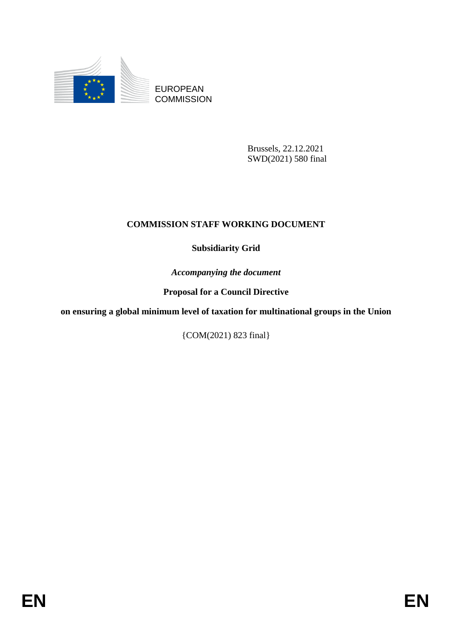

EUROPEAN **COMMISSION** 

> Brussels, 22.12.2021 SWD(2021) 580 final

# **COMMISSION STAFF WORKING DOCUMENT**

**Subsidiarity Grid**

*Accompanying the document*

**Proposal for a Council Directive**

**on ensuring a global minimum level of taxation for multinational groups in the Union**

{COM(2021) 823 final}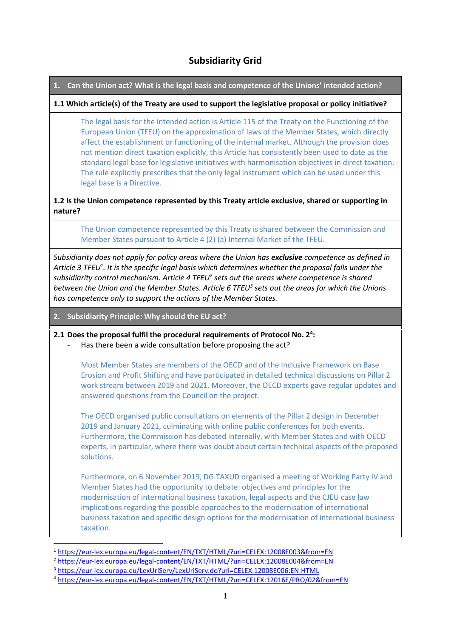## **Subsidiarity Grid**

**1. Can the Union act? What is the legal basis and competence of the Unions' intended action?**

#### **1.1 Which article(s) of the Treaty are used to support the legislative proposal or policy initiative?**

The legal basis for the intended action is Article 115 of the Treaty on the Functioning of the European Union (TFEU) on the approximation of laws of the Member States, which directly affect the establishment or functioning of the internal market. Although the provision does not mention direct taxation explicitly, this Article has consistently been used to date as the standard legal base for legislative initiatives with harmonisation objectives in direct taxation. The rule explicitly prescribes that the only legal instrument which can be used under this legal base is a Directive.

#### **1.2 Is the Union competence represented by this Treaty article exclusive, shared or supporting in nature?**

The Union competence represented by this Treaty is shared between the Commission and Member States pursuant to Article 4 (2) (a) Internal Market of the TFEU.

*Subsidiarity does not apply for policy areas where the Union has exclusive competence as defined in Article 3 TFEU<sup>1</sup> . It is the specific legal basis which determines whether the proposal falls under the subsidiarity control mechanism. Article 4 TFEU<sup>2</sup> sets out the areas where competence is shared between the Union and the Member States. Article 6 TFEU<sup>3</sup> sets out the areas for which the Unions has competence only to support the actions of the Member States.*

**2. Subsidiarity Principle: Why should the EU act?**

**.** 

#### **2.1 Does the proposal fulfil the procedural requirements of Protocol No. 2<sup>4</sup> :**

Has there been a wide consultation before proposing the act?

Most Member States are members of the OECD and of the Inclusive Framework on Base Erosion and Profit Shifting and have participated in detailed technical discussions on Pillar 2 work stream between 2019 and 2021. Moreover, the OECD experts gave regular updates and answered questions from the Council on the project.

The OECD organised public consultations on elements of the Pillar 2 design in December 2019 and January 2021, culminating with online public conferences for both events. Furthermore, the Commission has debated internally, with Member States and with OECD experts, in particular, where there was doubt about certain technical aspects of the proposed solutions.

Furthermore, on 6 November 2019, DG TAXUD organised a meeting of Working Party IV and Member States had the opportunity to debate: objectives and principles for the modernisation of international business taxation, legal aspects and the CJEU case law implications regarding the possible approaches to the modernisation of international business taxation and specific design options for the modernisation of international business taxation.

<sup>1</sup> <https://eur-lex.europa.eu/legal-content/EN/TXT/HTML/?uri=CELEX:12008E003&from=EN>

<sup>2</sup> <https://eur-lex.europa.eu/legal-content/EN/TXT/HTML/?uri=CELEX:12008E004&from=EN>

<sup>3</sup> <https://eur-lex.europa.eu/LexUriServ/LexUriServ.do?uri=CELEX:12008E006:EN:HTML>

<sup>4</sup> <https://eur-lex.europa.eu/legal-content/EN/TXT/HTML/?uri=CELEX:12016E/PRO/02&from=EN>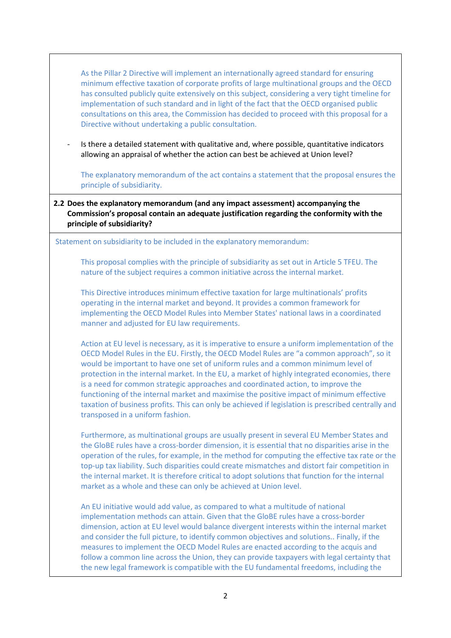As the Pillar 2 Directive will implement an internationally agreed standard for ensuring minimum effective taxation of corporate profits of large multinational groups and the OECD has consulted publicly quite extensively on this subject, considering a very tight timeline for implementation of such standard and in light of the fact that the OECD organised public consultations on this area, the Commission has decided to proceed with this proposal for a Directive without undertaking a public consultation.

Is there a detailed statement with qualitative and, where possible, quantitative indicators allowing an appraisal of whether the action can best be achieved at Union level?

The explanatory memorandum of the act contains a statement that the proposal ensures the principle of subsidiarity.

**2.2 Does the explanatory memorandum (and any impact assessment) accompanying the Commission's proposal contain an adequate justification regarding the conformity with the principle of subsidiarity?**

Statement on subsidiarity to be included in the explanatory memorandum:

This proposal complies with the principle of subsidiarity as set out in Article 5 TFEU. The nature of the subject requires a common initiative across the internal market.

This Directive introduces minimum effective taxation for large multinationals' profits operating in the internal market and beyond. It provides a common framework for implementing the OECD Model Rules into Member States' national laws in a coordinated manner and adjusted for EU law requirements.

Action at EU level is necessary, as it is imperative to ensure a uniform implementation of the OECD Model Rules in the EU. Firstly, the OECD Model Rules are "a common approach", so it would be important to have one set of uniform rules and a common minimum level of protection in the internal market. In the EU, a market of highly integrated economies, there is a need for common strategic approaches and coordinated action, to improve the functioning of the internal market and maximise the positive impact of minimum effective taxation of business profits. This can only be achieved if legislation is prescribed centrally and transposed in a uniform fashion.

Furthermore, as multinational groups are usually present in several EU Member States and the GloBE rules have a cross-border dimension, it is essential that no disparities arise in the operation of the rules, for example, in the method for computing the effective tax rate or the top-up tax liability. Such disparities could create mismatches and distort fair competition in the internal market. It is therefore critical to adopt solutions that function for the internal market as a whole and these can only be achieved at Union level.

An EU initiative would add value, as compared to what a multitude of national implementation methods can attain. Given that the GloBE rules have a cross-border dimension, action at EU level would balance divergent interests within the internal market and consider the full picture, to identify common objectives and solutions.. Finally, if the measures to implement the OECD Model Rules are enacted according to the acquis and follow a common line across the Union, they can provide taxpayers with legal certainty that the new legal framework is compatible with the EU fundamental freedoms, including the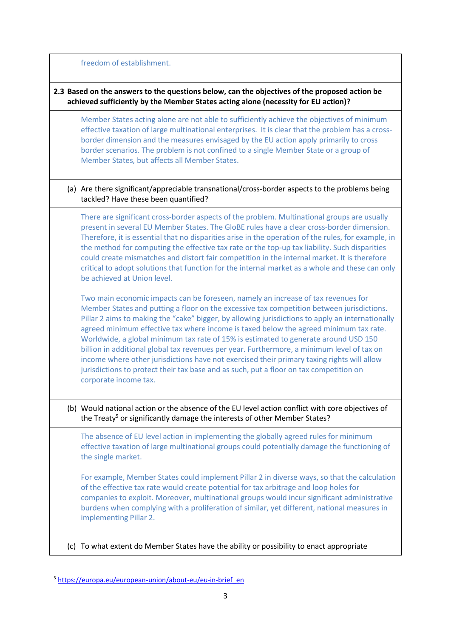freedom of establishment.

## **2.3 Based on the answers to the questions below, can the objectives of the proposed action be achieved sufficiently by the Member States acting alone (necessity for EU action)?**

Member States acting alone are not able to sufficiently achieve the objectives of minimum effective taxation of large multinational enterprises. It is clear that the problem has a crossborder dimension and the measures envisaged by the EU action apply primarily to cross border scenarios. The problem is not confined to a single Member State or a group of Member States, but affects all Member States.

## (a) Are there significant/appreciable transnational/cross-border aspects to the problems being tackled? Have these been quantified?

There are significant cross-border aspects of the problem. Multinational groups are usually present in several EU Member States. The GloBE rules have a clear cross-border dimension. Therefore, it is essential that no disparities arise in the operation of the rules, for example, in the method for computing the effective tax rate or the top-up tax liability. Such disparities could create mismatches and distort fair competition in the internal market. It is therefore critical to adopt solutions that function for the internal market as a whole and these can only be achieved at Union level.

Two main economic impacts can be foreseen, namely an increase of tax revenues for Member States and putting a floor on the excessive tax competition between jurisdictions. Pillar 2 aims to making the "cake" bigger, by allowing jurisdictions to apply an internationally agreed minimum effective tax where income is taxed below the agreed minimum tax rate. Worldwide, a global minimum tax rate of 15% is estimated to generate around USD 150 billion in additional global tax revenues per year. Furthermore, a minimum level of tax on income where other jurisdictions have not exercised their primary taxing rights will allow jurisdictions to protect their tax base and as such, put a floor on tax competition on corporate income tax.

(b) Would national action or the absence of the EU level action conflict with core objectives of the Treaty<sup>5</sup> or significantly damage the interests of other Member States?

The absence of EU level action in implementing the globally agreed rules for minimum effective taxation of large multinational groups could potentially damage the functioning of the single market.

For example, Member States could implement Pillar 2 in diverse ways, so that the calculation of the effective tax rate would create potential for tax arbitrage and loop holes for companies to exploit. Moreover, multinational groups would incur significant administrative burdens when complying with a proliferation of similar, yet different, national measures in implementing Pillar 2.

(c) To what extent do Member States have the ability or possibility to enact appropriate

1

<sup>5</sup> [https://europa.eu/european-union/about-eu/eu-in-brief\\_en](https://europa.eu/european-union/about-eu/eu-in-brief_en)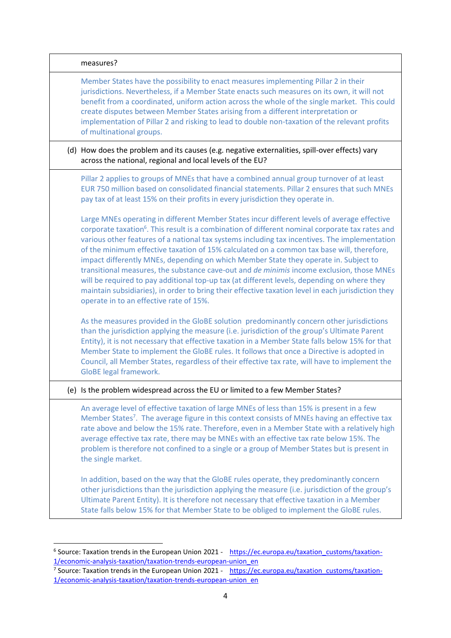| Member States have the possibility to enact measures implementing Pillar 2 in their<br>jurisdictions. Nevertheless, if a Member State enacts such measures on its own, it will not<br>benefit from a coordinated, uniform action across the whole of the single market. This could<br>create disputes between Member States arising from a different interpretation or<br>implementation of Pillar 2 and risking to lead to double non-taxation of the relevant profits<br>of multinational groups.                                                                                                                                                                                                                                                                                                                                           |
|-----------------------------------------------------------------------------------------------------------------------------------------------------------------------------------------------------------------------------------------------------------------------------------------------------------------------------------------------------------------------------------------------------------------------------------------------------------------------------------------------------------------------------------------------------------------------------------------------------------------------------------------------------------------------------------------------------------------------------------------------------------------------------------------------------------------------------------------------|
| (d) How does the problem and its causes (e.g. negative externalities, spill-over effects) vary<br>across the national, regional and local levels of the EU?                                                                                                                                                                                                                                                                                                                                                                                                                                                                                                                                                                                                                                                                                   |
| Pillar 2 applies to groups of MNEs that have a combined annual group turnover of at least<br>EUR 750 million based on consolidated financial statements. Pillar 2 ensures that such MNEs<br>pay tax of at least 15% on their profits in every jurisdiction they operate in.                                                                                                                                                                                                                                                                                                                                                                                                                                                                                                                                                                   |
| Large MNEs operating in different Member States incur different levels of average effective<br>corporate taxation <sup>6</sup> . This result is a combination of different nominal corporate tax rates and<br>various other features of a national tax systems including tax incentives. The implementation<br>of the minimum effective taxation of 15% calculated on a common tax base will, therefore,<br>impact differently MNEs, depending on which Member State they operate in. Subject to<br>transitional measures, the substance cave-out and de minimis income exclusion, those MNEs<br>will be required to pay additional top-up tax (at different levels, depending on where they<br>maintain subsidiaries), in order to bring their effective taxation level in each jurisdiction they<br>operate in to an effective rate of 15%. |
| As the measures provided in the GloBE solution predominantly concern other jurisdictions<br>than the jurisdiction applying the measure (i.e. jurisdiction of the group's Ultimate Parent<br>Entity), it is not necessary that effective taxation in a Member State falls below 15% for that<br>Member State to implement the GloBE rules. It follows that once a Directive is adopted in<br>Council, all Member States, regardless of their effective tax rate, will have to implement the<br><b>GloBE</b> legal framework.                                                                                                                                                                                                                                                                                                                   |
| (e) Is the problem widespread across the EU or limited to a few Member States?                                                                                                                                                                                                                                                                                                                                                                                                                                                                                                                                                                                                                                                                                                                                                                |
| An average level of effective taxation of large MNEs of less than 15% is present in a few<br>Member States <sup>7</sup> . The average figure in this context consists of MNEs having an effective tax<br>rate above and below the 15% rate. Therefore, even in a Member State with a relatively high<br>average effective tax rate, there may be MNEs with an effective tax rate below 15%. The<br>problem is therefore not confined to a single or a group of Member States but is present in<br>the single market.                                                                                                                                                                                                                                                                                                                          |
| In addition, based on the way that the GloBE rules operate, they predominantly concern<br>other jurisdictions than the jurisdiction applying the measure (i.e. jurisdiction of the group's<br>Ultimate Parent Entity). It is therefore not necessary that effective taxation in a Member<br>State falls below 15% for that Member State to be obliged to implement the GloBE rules.                                                                                                                                                                                                                                                                                                                                                                                                                                                           |

 6 Source: Taxation trends in the European Union 2021 - [https://ec.europa.eu/taxation\\_customs/taxation-](https://ec.europa.eu/taxation_customs/taxation-1/economic-analysis-taxation/taxation-trends-european-union_en)<u>[1/economic-analysis-taxation/taxation-trends-european-union\\_en](https://ec.europa.eu/taxation_customs/taxation-1/economic-analysis-taxation/taxation-trends-european-union_en)</u><br><sup>7</sup> Source: Taxation trends in the European Union 2021 - [https://ec.europa.eu/taxation\\_customs/taxation-](https://ec.europa.eu/taxation_customs/taxation-1/economic-analysis-taxation/taxation-trends-european-union_en)

[<sup>1/</sup>economic-analysis-taxation/taxation-trends-european-union\\_en](https://ec.europa.eu/taxation_customs/taxation-1/economic-analysis-taxation/taxation-trends-european-union_en)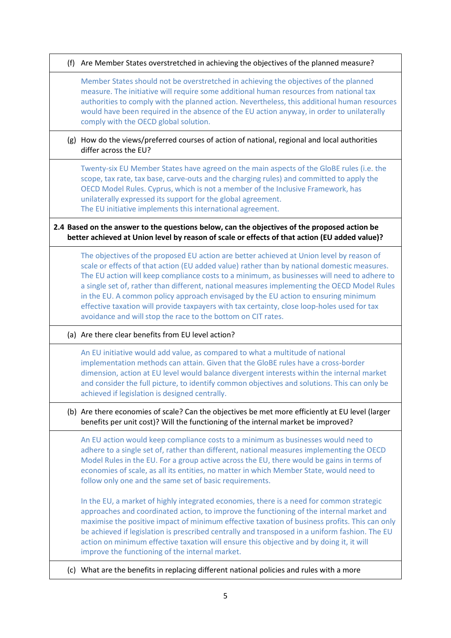(f) Are Member States overstretched in achieving the objectives of the planned measure?

Member States should not be overstretched in achieving the objectives of the planned measure. The initiative will require some additional human resources from national tax authorities to comply with the planned action. Nevertheless, this additional human resources would have been required in the absence of the EU action anyway, in order to unilaterally comply with the OECD global solution.

(g) How do the views/preferred courses of action of national, regional and local authorities differ across the EU?

Twenty-six EU Member States have agreed on the main aspects of the GloBE rules (i.e. the scope, tax rate, tax base, carve-outs and the charging rules) and committed to apply the OECD Model Rules. Cyprus, which is not a member of the Inclusive Framework, has unilaterally expressed its support for the global agreement. The EU initiative implements this international agreement.

**2.4 Based on the answer to the questions below, can the objectives of the proposed action be better achieved at Union level by reason of scale or effects of that action (EU added value)?**

The objectives of the proposed EU action are better achieved at Union level by reason of scale or effects of that action (EU added value) rather than by national domestic measures. The EU action will keep compliance costs to a minimum, as businesses will need to adhere to a single set of, rather than different, national measures implementing the OECD Model Rules in the EU. A common policy approach envisaged by the EU action to ensuring minimum effective taxation will provide taxpayers with tax certainty, close loop-holes used for tax avoidance and will stop the race to the bottom on CIT rates.

(a) Are there clear benefits from EU level action?

An EU initiative would add value, as compared to what a multitude of national implementation methods can attain. Given that the GloBE rules have a cross-border dimension, action at EU level would balance divergent interests within the internal market and consider the full picture, to identify common objectives and solutions. This can only be achieved if legislation is designed centrally.

(b) Are there economies of scale? Can the objectives be met more efficiently at EU level (larger benefits per unit cost)? Will the functioning of the internal market be improved?

An EU action would keep compliance costs to a minimum as businesses would need to adhere to a single set of, rather than different, national measures implementing the OECD Model Rules in the EU. For a group active across the EU, there would be gains in terms of economies of scale, as all its entities, no matter in which Member State, would need to follow only one and the same set of basic requirements.

In the EU, a market of highly integrated economies, there is a need for common strategic approaches and coordinated action, to improve the functioning of the internal market and maximise the positive impact of minimum effective taxation of business profits. This can only be achieved if legislation is prescribed centrally and transposed in a uniform fashion. The EU action on minimum effective taxation will ensure this objective and by doing it, it will improve the functioning of the internal market.

(c) What are the benefits in replacing different national policies and rules with a more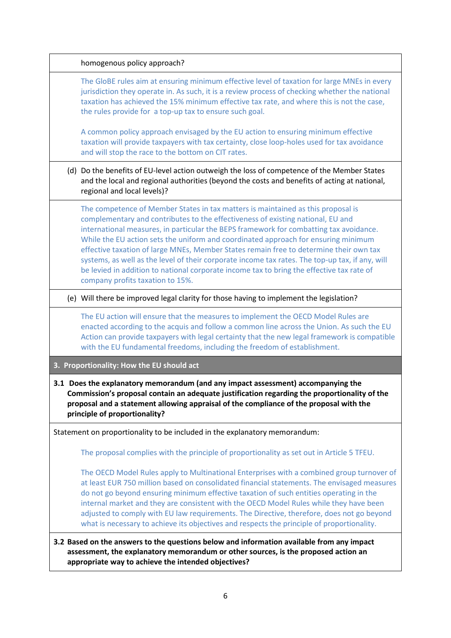The GloBE rules aim at ensuring minimum effective level of taxation for large MNEs in every jurisdiction they operate in. As such, it is a review process of checking whether the national taxation has achieved the 15% minimum effective tax rate, and where this is not the case, the rules provide for a top-up tax to ensure such goal.

A common policy approach envisaged by the EU action to ensuring minimum effective taxation will provide taxpayers with tax certainty, close loop-holes used for tax avoidance and will stop the race to the bottom on CIT rates.

(d) Do the benefits of EU-level action outweigh the loss of competence of the Member States and the local and regional authorities (beyond the costs and benefits of acting at national, regional and local levels)?

The competence of Member States in tax matters is maintained as this proposal is complementary and contributes to the effectiveness of existing national, EU and international measures, in particular the BEPS framework for combatting tax avoidance. While the EU action sets the uniform and coordinated approach for ensuring minimum effective taxation of large MNEs, Member States remain free to determine their own tax systems, as well as the level of their corporate income tax rates. The top-up tax, if any, will be levied in addition to national corporate income tax to bring the effective tax rate of company profits taxation to 15%.

(e) Will there be improved legal clarity for those having to implement the legislation?

The EU action will ensure that the measures to implement the OECD Model Rules are enacted according to the acquis and follow a common line across the Union. As such the EU Action can provide taxpayers with legal certainty that the new legal framework is compatible with the EU fundamental freedoms, including the freedom of establishment.

## **3. Proportionality: How the EU should act**

**3.1 Does the explanatory memorandum (and any impact assessment) accompanying the Commission's proposal contain an adequate justification regarding the proportionality of the proposal and a statement allowing appraisal of the compliance of the proposal with the principle of proportionality?**

Statement on proportionality to be included in the explanatory memorandum:

The proposal complies with the principle of proportionality as set out in Article 5 TFEU.

The OECD Model Rules apply to Multinational Enterprises with a combined group turnover of at least EUR 750 million based on consolidated financial statements. The envisaged measures do not go beyond ensuring minimum effective taxation of such entities operating in the internal market and they are consistent with the OECD Model Rules while they have been adjusted to comply with EU law requirements. The Directive, therefore, does not go beyond what is necessary to achieve its objectives and respects the principle of proportionality.

**3.2 Based on the answers to the questions below and information available from any impact assessment, the explanatory memorandum or other sources, is the proposed action an appropriate way to achieve the intended objectives?**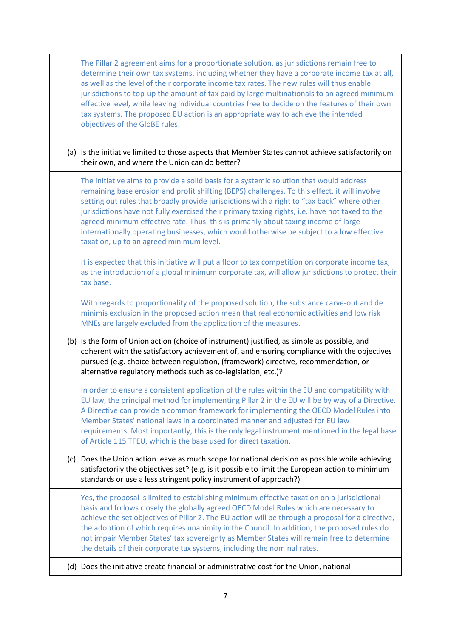The Pillar 2 agreement aims for a proportionate solution, as jurisdictions remain free to determine their own tax systems, including whether they have a corporate income tax at all, as well as the level of their corporate income tax rates. The new rules will thus enable jurisdictions to top-up the amount of tax paid by large multinationals to an agreed minimum effective level, while leaving individual countries free to decide on the features of their own tax systems. The proposed EU action is an appropriate way to achieve the intended objectives of the GloBE rules.

(a) Is the initiative limited to those aspects that Member States cannot achieve satisfactorily on their own, and where the Union can do better?

The initiative aims to provide a solid basis for a systemic solution that would address remaining base erosion and profit shifting (BEPS) challenges. To this effect, it will involve setting out rules that broadly provide jurisdictions with a right to "tax back" where other jurisdictions have not fully exercised their primary taxing rights, i.e. have not taxed to the agreed minimum effective rate. Thus, this is primarily about taxing income of large internationally operating businesses, which would otherwise be subject to a low effective taxation, up to an agreed minimum level.

It is expected that this initiative will put a floor to tax competition on corporate income tax, as the introduction of a global minimum corporate tax, will allow jurisdictions to protect their tax base.

With regards to proportionality of the proposed solution, the substance carve-out and de minimis exclusion in the proposed action mean that real economic activities and low risk MNEs are largely excluded from the application of the measures.

(b) Is the form of Union action (choice of instrument) justified, as simple as possible, and coherent with the satisfactory achievement of, and ensuring compliance with the objectives pursued (e.g. choice between regulation, (framework) directive, recommendation, or alternative regulatory methods such as co-legislation, etc.)?

In order to ensure a consistent application of the rules within the EU and compatibility with EU law, the principal method for implementing Pillar 2 in the EU will be by way of a Directive. A Directive can provide a common framework for implementing the OECD Model Rules into Member States' national laws in a coordinated manner and adjusted for EU law requirements. Most importantly, this is the only legal instrument mentioned in the legal base of Article 115 TFEU, which is the base used for direct taxation.

(c) Does the Union action leave as much scope for national decision as possible while achieving satisfactorily the objectives set? (e.g. is it possible to limit the European action to minimum standards or use a less stringent policy instrument of approach?)

Yes, the proposal is limited to establishing minimum effective taxation on a jurisdictional basis and follows closely the globally agreed OECD Model Rules which are necessary to achieve the set objectives of Pillar 2. The EU action will be through a proposal for a directive, the adoption of which requires unanimity in the Council. In addition, the proposed rules do not impair Member States' tax sovereignty as Member States will remain free to determine the details of their corporate tax systems, including the nominal rates.

(d) Does the initiative create financial or administrative cost for the Union, national